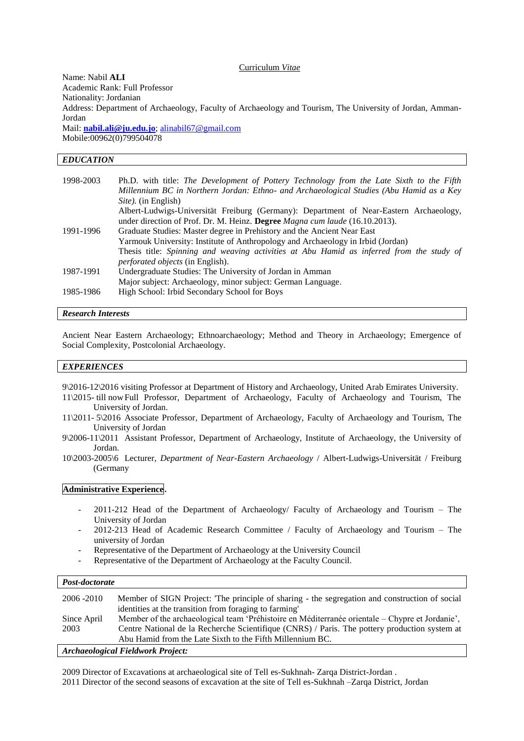### [Curriculum](http://www.google.de/url?sa=t&source=web&cd=1&ved=0CB4QFjAA&url=http%3A%2F%2Fjobsearch.about.com%2Fod%2Fcurriculumvitae%2FCurriculum_Vitae.htm&ei=-Dx3Td7iIcbAhAeNxLD4Bg&usg=AFQjCNFWmK790rl0MG1Au_HeqCi0Fq9Clw) *Vitae*

Name: Nabil **ALI** Academic Rank: Full Professor Nationality: Jordanian Address: Department of Archaeology, Faculty of Archaeology and Tourism, The University of Jordan, Amman-Jordan Mail: **[nabil.ali@ju.edu.jo](mailto:nabil.ali@ju.edu.jo)**; [alinabil67@gmail.com](mailto:alinabil67@gmail.com)

Mobile:00962(0)799504078

## *EDUCATION*

| 1998-2003 | Ph.D. with title: The Development of Pottery Technology from the Late Sixth to the Fifth<br>Millennium BC in Northern Jordan: Ethno- and Archaeological Studies (Abu Hamid as a Key<br><i>Site</i> ). (in English) |
|-----------|--------------------------------------------------------------------------------------------------------------------------------------------------------------------------------------------------------------------|
|           | Albert-Ludwigs-Universität Freiburg (Germany): Department of Near-Eastern Archaeology,                                                                                                                             |
|           | under direction of Prof. Dr. M. Heinz. Degree <i>Magna cum laude</i> (16.10.2013).                                                                                                                                 |
| 1991-1996 | Graduate Studies: Master degree in Prehistory and the Ancient Near East                                                                                                                                            |
|           | Yarmouk University: Institute of Anthropology and Archaeology in Irbid (Jordan)                                                                                                                                    |
|           | Thesis title: Spinning and weaving activities at Abu Hamid as inferred from the study of<br><i>perforated objects</i> (in English).                                                                                |
| 1987-1991 | Undergraduate Studies: The University of Jordan in Amman                                                                                                                                                           |
|           | Major subject: Archaeology, minor subject: German Language.                                                                                                                                                        |
| 1985-1986 | High School: Irbid Secondary School for Boys                                                                                                                                                                       |

### *Research Interests*

Ancient Near Eastern Archaeology; Ethnoarchaeology; Method and Theory in Archaeology; Emergence of Social Complexity, Postcolonial Archaeology.

## *EXPERIENCES*

9\2016-12\2016 visiting Professor at Department of History and Archaeology, United Arab Emirates University.

- 11\2015- till nowFull Professor, Department of Archaeology, Faculty of Archaeology and Tourism, The University of Jordan.
- 11\2011- 5\2016 Associate Professor, Department of Archaeology, Faculty of Archaeology and Tourism, The University of Jordan
- 9\2006-11\2011 Assistant Professor, Department of Archaeology, Institute of Archaeology, the University of Jordan.
- 10\2003-2005\6 Lecturer, *Department of Near-Eastern Archaeology* / Albert-Ludwigs-Universität / Freiburg (Germany

#### **Administrative Experience**.

- 2011-212 Head of the Department of Archaeology/ Faculty of Archaeology and Tourism The University of Jordan
- 2012-213 Head of Academic Research Committee / Faculty of Archaeology and Tourism The university of Jordan
- Representative of the Department of Archaeology at the University Council
- Representative of the Department of Archaeology at the Faculty Council.

### *Post-doctorate*

| 2006 - 2010 | Member of SIGN Project: 'The principle of sharing - the segregation and construction of social  |
|-------------|-------------------------------------------------------------------------------------------------|
|             | identities at the transition from foraging to farming'                                          |
| Since April | Member of the archaeological team 'Préhistoire en Méditerranée orientale – Chypre et Jordanie', |
| 2003        | Centre National de la Recherche Scientifique (CNRS) / Paris. The pottery production system at   |
|             | Abu Hamid from the Late Sixth to the Fifth Millennium BC.                                       |
|             |                                                                                                 |

## *Archaeological Fieldwork Project:*

2009 Director of Excavations at archaeological site of Tell es-Sukhnah- Zarqa District-Jordan . 2011 Director of the second seasons of excavation at the site of Tell es-Sukhnah –Zarqa District, Jordan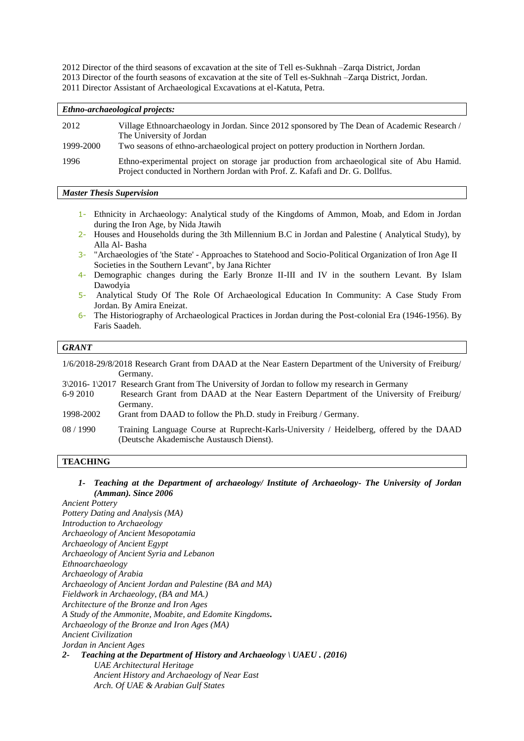2012 Director of the third seasons of excavation at the site of Tell es-Sukhnah –Zarqa District, Jordan

2013 Director of the fourth seasons of excavation at the site of Tell es-Sukhnah –Zarqa District, Jordan.

2011 Director Assistant of Archaeological Excavations at el-Katuta, Petra.

| Ethno-archaeological projects: |                                                                                                                                                                              |  |  |  |
|--------------------------------|------------------------------------------------------------------------------------------------------------------------------------------------------------------------------|--|--|--|
| 2012                           | Village Ethnoarchaeology in Jordan. Since 2012 sponsored by The Dean of Academic Research /<br>The University of Jordan                                                      |  |  |  |
| 1999-2000                      | Two seasons of ethno-archaeological project on pottery production in Northern Jordan.                                                                                        |  |  |  |
| 1996                           | Ethno-experimental project on storage jar production from archaeological site of Abu Hamid.<br>Project conducted in Northern Jordan with Prof. Z. Kafafi and Dr. G. Dollfus. |  |  |  |

*Master Thesis Supervision* 

- 1- Ethnicity in Archaeology: Analytical study of the Kingdoms of Ammon, Moab, and Edom in Jordan during the Iron Age, by Nida Jtawih
- 2- Houses and Households during the 3th Millennium B.C in Jordan and Palestine ( Analytical Study), by Alla Al- Basha
- 3- "Archaeologies of 'the State' Approaches to Statehood and Socio-Political Organization of Iron Age II Societies in the Southern Levant", by Jana Richter
- 4- Demographic changes during the Early Bronze II-III and IV in the southern Levant. By Islam Dawodyia
- 5- Analytical Study Of The Role Of Archaeological Education In Community: A Case Study From Jordan. By Amira Eneizat.
- 6- The Historiography of Archaeological Practices in Jordan during the Post-colonial Era (1946-1956). By Faris Saadeh.

# *GRANT*

1/6/2018-29/8/2018 Research Grant from DAAD at the Near Eastern Department of the University of Freiburg/ Germany.

- 3\2016- 1\2017 Research Grant from The University of Jordan to follow my research in Germany
- 6-9 2010 Research Grant from DAAD at the Near Eastern Department of the University of Freiburg/ Germany.

1998-2002 Grant from DAAD to follow the Ph.D. study in Freiburg / Germany.

08 / 1990 Training Language Course at Ruprecht-Karls-University / Heidelberg, offered by the DAAD (Deutsche Akademische Austausch Dienst).

# **TEACHING**

*1- Teaching at the Department of archaeology/ Institute of Archaeology- The University of Jordan (Amman). Since 2006*

*Ancient Pottery Pottery Dating and Analysis (MA) Introduction to Archaeology Archaeology of Ancient Mesopotamia Archaeology of Ancient Egypt Archaeology of Ancient Syria and Lebanon Ethnoarchaeology Archaeology of Arabia Archaeology of Ancient Jordan and Palestine (BA and MA) Fieldwork in Archaeology, (BA and MA.) Architecture of the Bronze and Iron Ages A Study of the Ammonite, Moabite, and Edomite Kingdoms. Archaeology of the Bronze and Iron Ages (MA) Ancient Civilization Jordan in Ancient Ages 2- Teaching at the Department of History and Archaeology \ UAEU . (2016) UAE Architectural Heritage* 

*Ancient History and Archaeology of Near East Arch. Of UAE & Arabian Gulf States*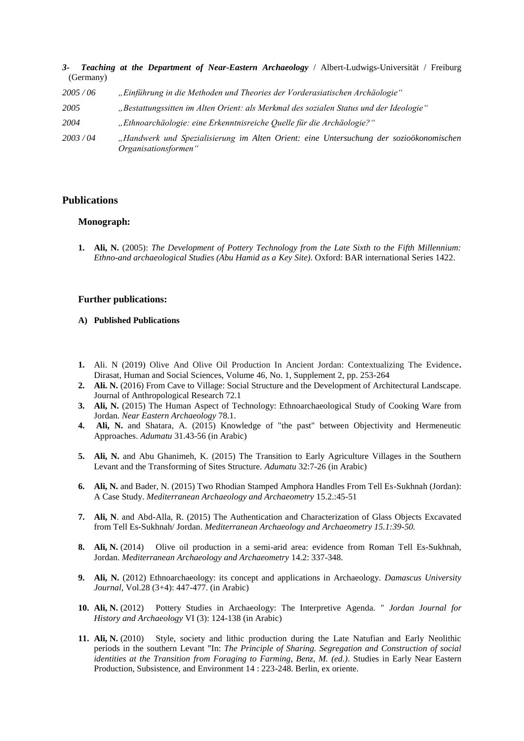|           |  |  |  | 3- Teaching at the Department of Near-Eastern Archaeology / Albert-Ludwigs-Universität / Freiburg |  |
|-----------|--|--|--|---------------------------------------------------------------------------------------------------|--|
| (Germany) |  |  |  |                                                                                                   |  |

| 2005/06 | "Einführung in die Methoden und Theories der Vorderasiatischen Archäologie"                                    |  |  |  |  |  |  |
|---------|----------------------------------------------------------------------------------------------------------------|--|--|--|--|--|--|
| 2005    | "Bestattungssitten im Alten Orient: als Merkmal des sozialen Status und der Ideologie"                         |  |  |  |  |  |  |
| 2004    | "Ethnoarchäologie: eine Erkenntnisreiche Quelle für die Archäologie?"                                          |  |  |  |  |  |  |
| 2003/04 | "Handwerk und Spezialisierung im Alten Orient: eine Untersuchung der sozioökonomischen<br>Organisationsformen" |  |  |  |  |  |  |

# **Publications**

### **Monograph:**

**1. Ali, N.** (2005): *The Development of Pottery Technology from the Late Sixth to the Fifth Millennium: Ethno-and archaeological Studies (Abu Hamid as a Key Site)*. Oxford: BAR international Series 1422.

### **Further publications:**

#### **A) Published Publications**

- **1.** Ali. N (2019) Olive And Olive Oil Production In Ancient Jordan: Contextualizing The Evidence**.**  Dirasat, Human and Social Sciences, Volume 46, No. 1, Supplement 2, pp. 253-264
- **2. Ali. N.** (2016) From Cave to Village: Social Structure and the Development of Architectural Landscape. Journal of Anthropological Research 72.1
- **3. Ali, N.** (2015) The Human Aspect of Technology: Ethnoarchaeological Study of Cooking Ware from Jordan. *Near Eastern Archaeology* 78.1.
- **4. Ali, N.** and Shatara, A. (2015) Knowledge of "the past" between Objectivity and Hermeneutic Approaches. *Adumatu* 31.43-56 (in Arabic)
- **5. Ali, N.** and Abu Ghanimeh, K. (2015) The Transition to Early Agriculture Villages in the Southern Levant and the Transforming of Sites Structure. *Adumatu* 32:7-26 (in Arabic)
- **6. Ali, N.** and Bader, N. (2015) Two Rhodian Stamped Amphora Handles From Tell Es-Sukhnah (Jordan): A Case Study. *Mediterranean Archaeology and Archaeometry* 15.2.:45-51
- **7. Ali, N**. and Abd-Alla, R. (2015) The Authentication and Characterization of Glass Objects Excavated from Tell Es-Sukhnah/ Jordan. *Mediterranean Archaeology and Archaeometry 15.1:39-50.*
- **8. Ali, N.** (2014) Olive oil production in a semi-arid area: evidence from Roman Tell Es-Sukhnah, Jordan. *Mediterranean Archaeology and Archaeometry* 14.2: 337-348.
- **9. Ali, N.** (2012) Ethnoarchaeology: its concept and applications in Archaeology. *Damascus University Journal*, Vol.28 (3+4): 447-477. (in Arabic)
- **10. Ali, N.** (2012) Pottery Studies in Archaeology: The Interpretive Agenda. " *Jordan Journal for History and Archaeology* VI (3): 124-138 (in Arabic)
- **11. Ali, N.** (2010) Style, society and lithic production during the Late Natufian and Early Neolithic periods in the southern Levant "In: *The Principle of Sharing. Segregation and Construction of social identities at the Transition from Foraging to Farming, Benz, M. (ed.)*. Studies in Early Near Eastern Production, Subsistence, and Environment 14 : 223-248. Berlin, ex oriente.